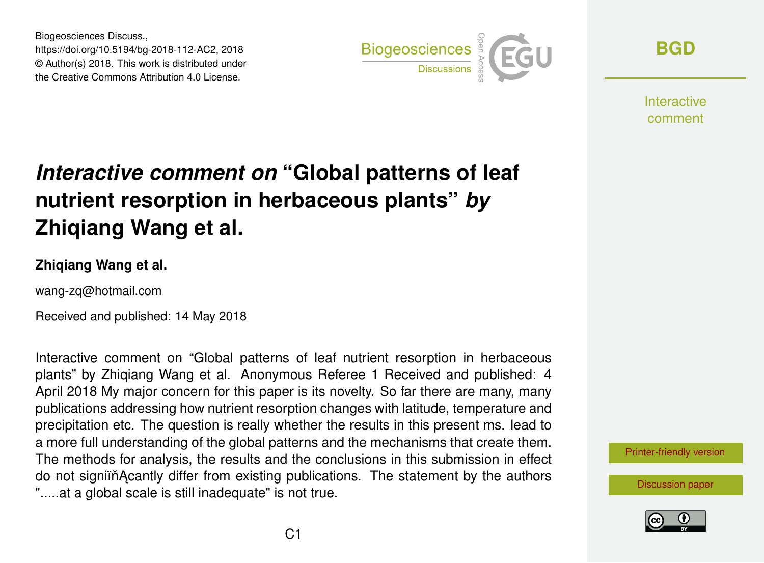Biogeosciences Discuss., https://doi.org/10.5194/bg-2018-112-AC2, 2018 © Author(s) 2018. This work is distributed under the Creative Commons Attribution 4.0 License.



**[BGD](https://www.biogeosciences-discuss.net/)**

**Interactive** comment

# *Interactive comment on* **"Global patterns of leaf nutrient resorption in herbaceous plants"** *by* **Zhiqiang Wang et al.**

### **Zhiqiang Wang et al.**

wang-zq@hotmail.com

Received and published: 14 May 2018

Interactive comment on "Global patterns of leaf nutrient resorption in herbaceous plants" by Zhiqiang Wang et al. Anonymous Referee 1 Received and published: 4 April 2018 My major concern for this paper is its novelty. So far there are many, many publications addressing how nutrient resorption changes with latitude, temperature and precipitation etc. The question is really whether the results in this present ms. lead to a more full understanding of the global patterns and the mechanisms that create them. The methods for analysis, the results and the conclusions in this submission in effect do not signiin Acantly differ from existing publications. The statement by the authors ".....at a global scale is still inadequate" is not true.



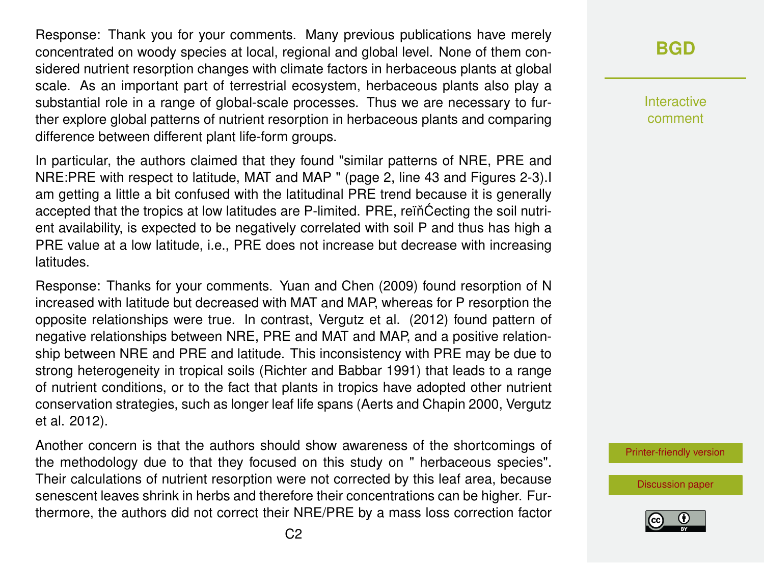Response: Thank you for your comments. Many previous publications have merely concentrated on woody species at local, regional and global level. None of them considered nutrient resorption changes with climate factors in herbaceous plants at global scale. As an important part of terrestrial ecosystem, herbaceous plants also play a substantial role in a range of global-scale processes. Thus we are necessary to further explore global patterns of nutrient resorption in herbaceous plants and comparing difference between different plant life-form groups.

In particular, the authors claimed that they found "similar patterns of NRE, PRE and NRE:PRE with respect to latitude, MAT and MAP " (page 2, line 43 and Figures 2-3).I am getting a little a bit confused with the latitudinal PRE trend because it is generally accepted that the tropics at low latitudes are P-limited. PRE, reiñ Cecting the soil nutrient availability, is expected to be negatively correlated with soil P and thus has high a PRE value at a low latitude, i.e., PRE does not increase but decrease with increasing latitudes.

Response: Thanks for your comments. Yuan and Chen (2009) found resorption of N increased with latitude but decreased with MAT and MAP, whereas for P resorption the opposite relationships were true. In contrast, Vergutz et al. (2012) found pattern of negative relationships between NRE, PRE and MAT and MAP, and a positive relationship between NRE and PRE and latitude. This inconsistency with PRE may be due to strong heterogeneity in tropical soils (Richter and Babbar 1991) that leads to a range of nutrient conditions, or to the fact that plants in tropics have adopted other nutrient conservation strategies, such as longer leaf life spans (Aerts and Chapin 2000, Vergutz et al. 2012).

Another concern is that the authors should show awareness of the shortcomings of the methodology due to that they focused on this study on " herbaceous species". Their calculations of nutrient resorption were not corrected by this leaf area, because senescent leaves shrink in herbs and therefore their concentrations can be higher. Furthermore, the authors did not correct their NRE/PRE by a mass loss correction factor

## **[BGD](https://www.biogeosciences-discuss.net/)**

Interactive comment

[Printer-friendly version](https://www.biogeosciences-discuss.net/bg-2018-112/bg-2018-112-AC2-print.pdf)

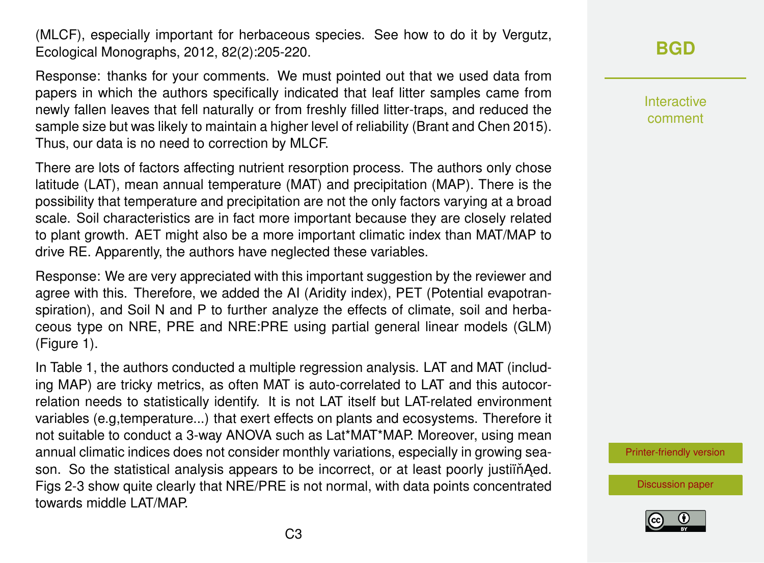(MLCF), especially important for herbaceous species. See how to do it by Vergutz, Ecological Monographs, 2012, 82(2):205-220.

Response: thanks for your comments. We must pointed out that we used data from papers in which the authors specifically indicated that leaf litter samples came from newly fallen leaves that fell naturally or from freshly filled litter-traps, and reduced the sample size but was likely to maintain a higher level of reliability (Brant and Chen 2015). Thus, our data is no need to correction by MLCF.

There are lots of factors affecting nutrient resorption process. The authors only chose latitude (LAT), mean annual temperature (MAT) and precipitation (MAP). There is the possibility that temperature and precipitation are not the only factors varying at a broad scale. Soil characteristics are in fact more important because they are closely related to plant growth. AET might also be a more important climatic index than MAT/MAP to drive RE. Apparently, the authors have neglected these variables.

Response: We are very appreciated with this important suggestion by the reviewer and agree with this. Therefore, we added the AI (Aridity index), PET (Potential evapotranspiration), and Soil N and P to further analyze the effects of climate, soil and herbaceous type on NRE, PRE and NRE:PRE using partial general linear models (GLM) (Figure 1).

In Table 1, the authors conducted a multiple regression analysis. LAT and MAT (including MAP) are tricky metrics, as often MAT is auto-correlated to LAT and this autocorrelation needs to statistically identify. It is not LAT itself but LAT-related environment variables (e.g,temperature...) that exert effects on plants and ecosystems. Therefore it not suitable to conduct a 3-way ANOVA such as Lat\*MAT\*MAP. Moreover, using mean annual climatic indices does not consider monthly variations, especially in growing season. So the statistical analysis appears to be incorrect, or at least poorly justiin Aed. Figs 2-3 show quite clearly that NRE/PRE is not normal, with data points concentrated towards middle LAT/MAP.

**[BGD](https://www.biogeosciences-discuss.net/)**

Interactive comment

[Printer-friendly version](https://www.biogeosciences-discuss.net/bg-2018-112/bg-2018-112-AC2-print.pdf)

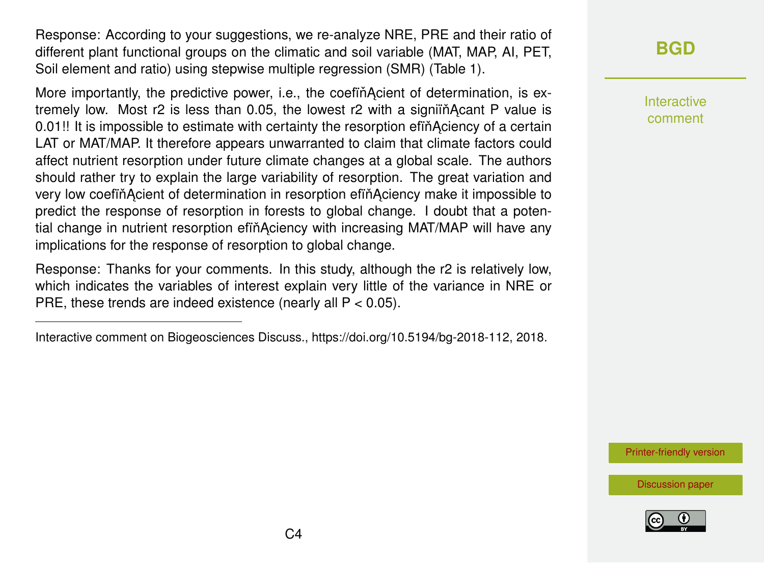Response: According to your suggestions, we re-analyze NRE, PRE and their ratio of different plant functional groups on the climatic and soil variable (MAT, MAP, AI, PET, Soil element and ratio) using stepwise multiple regression (SMR) (Table 1).

More importantly, the predictive power, i.e., the coefination of determination, is extremely low. Most  $r^2$  is less than 0.05, the lowest  $r^2$  with a signifind Acant P value is 0.01!! It is impossible to estimate with certainty the resorption efind Aciency of a certain LAT or MAT/MAP. It therefore appears unwarranted to claim that climate factors could affect nutrient resorption under future climate changes at a global scale. The authors should rather try to explain the large variability of resorption. The great variation and very low coefin Acient of determination in resorption effinaciency make it impossible to predict the response of resorption in forests to global change. I doubt that a potential change in nutrient resorption efiňAciency with increasing MAT/MAP will have any implications for the response of resorption to global change.

Response: Thanks for your comments. In this study, although the r2 is relatively low, which indicates the variables of interest explain very little of the variance in NRE or PRE, these trends are indeed existence (nearly all  $P < 0.05$ ).

**[BGD](https://www.biogeosciences-discuss.net/)**

Interactive comment

[Printer-friendly version](https://www.biogeosciences-discuss.net/bg-2018-112/bg-2018-112-AC2-print.pdf)





Interactive comment on Biogeosciences Discuss., https://doi.org/10.5194/bg-2018-112, 2018.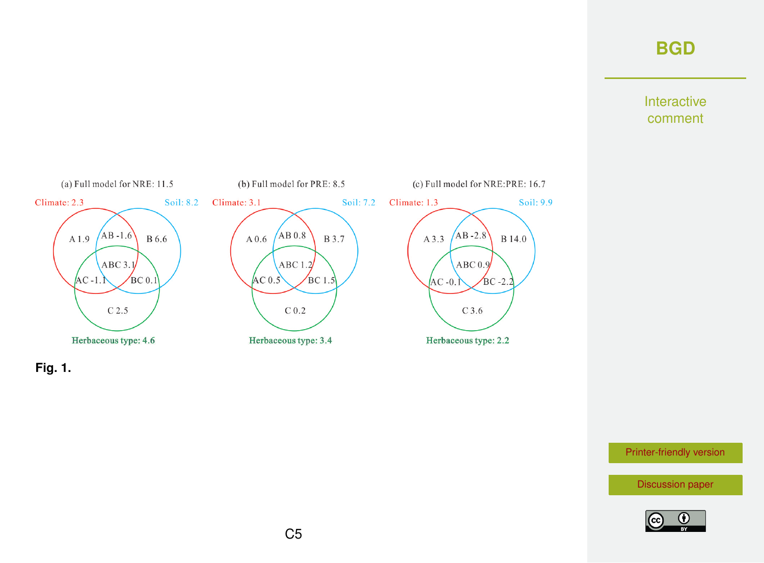## **[BGD](https://www.biogeosciences-discuss.net/)**

#### Interactive comment





[Printer-friendly version](https://www.biogeosciences-discuss.net/bg-2018-112/bg-2018-112-AC2-print.pdf)